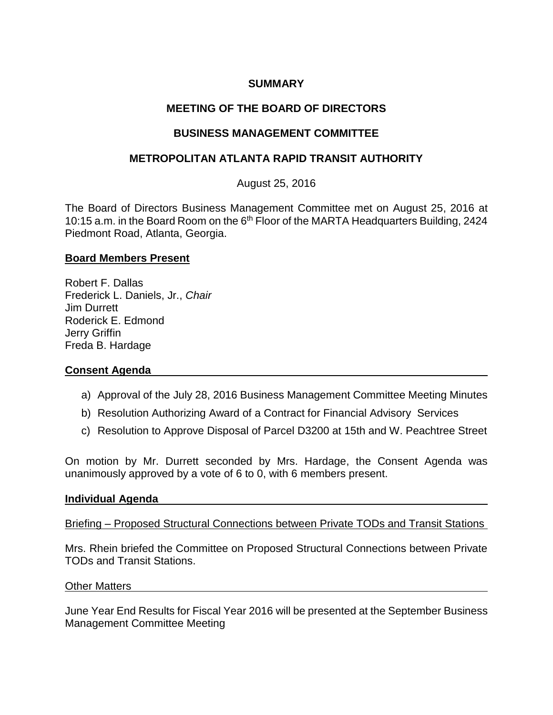## **SUMMARY**

# **MEETING OF THE BOARD OF DIRECTORS**

## **BUSINESS MANAGEMENT COMMITTEE**

## **METROPOLITAN ATLANTA RAPID TRANSIT AUTHORITY**

August 25, 2016

The Board of Directors Business Management Committee met on August 25, 2016 at 10:15 a.m. in the Board Room on the 6<sup>th</sup> Floor of the MARTA Headquarters Building, 2424 Piedmont Road, Atlanta, Georgia.

## **Board Members Present**

Robert F. Dallas Frederick L. Daniels, Jr., *Chair* Jim Durrett Roderick E. Edmond Jerry Griffin Freda B. Hardage

## **Consent Agenda**

- a) Approval of the July 28, 2016 Business Management Committee Meeting Minutes
- b) Resolution Authorizing Award of a Contract for Financial Advisory Services
- c) Resolution to Approve Disposal of Parcel D3200 at 15th and W. Peachtree Street

On motion by Mr. Durrett seconded by Mrs. Hardage, the Consent Agenda was unanimously approved by a vote of 6 to 0, with 6 members present.

### **Individual Agenda**

Briefing – Proposed Structural Connections between Private TODs and Transit Stations

Mrs. Rhein briefed the Committee on Proposed Structural Connections between Private TODs and Transit Stations.

#### Other Matters

June Year End Results for Fiscal Year 2016 will be presented at the September Business Management Committee Meeting